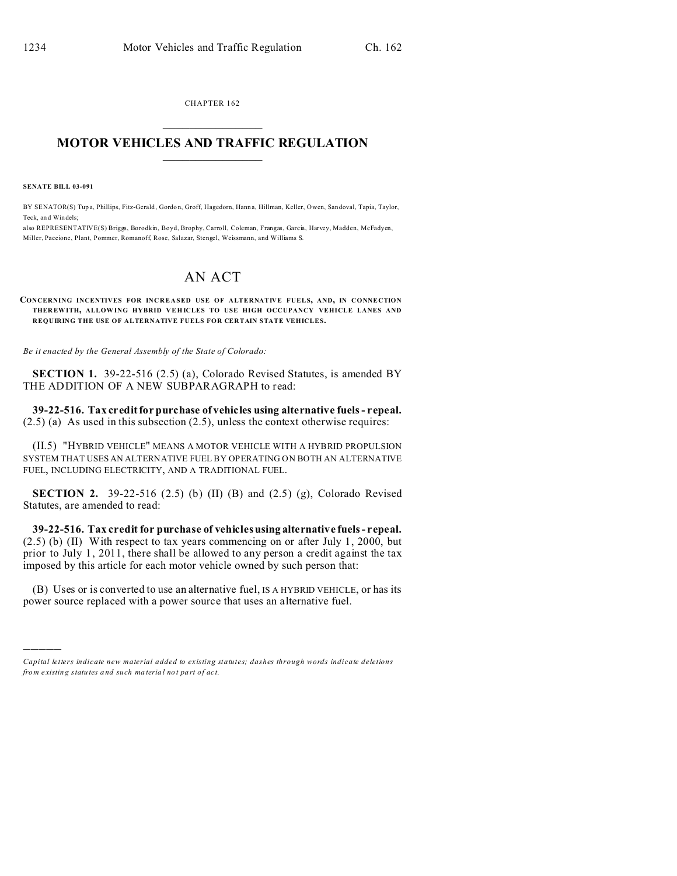CHAPTER 162  $\overline{\phantom{a}}$  , where  $\overline{\phantom{a}}$ 

## **MOTOR VEHICLES AND TRAFFIC REGULATION**  $\frac{1}{2}$  ,  $\frac{1}{2}$  ,  $\frac{1}{2}$  ,  $\frac{1}{2}$  ,  $\frac{1}{2}$  ,  $\frac{1}{2}$  ,  $\frac{1}{2}$

**SENATE BILL 03-091**

)))))

BY SENATOR(S) Tupa, Phillips, Fitz-Gerald, Gordon, Groff, Hagedorn, Hanna, Hillman, Keller, Owen, Sandoval, Tapia, Taylor, Teck, and Windels;

also REPRESENTATIVE(S) Briggs, Borodkin, Boyd, Brophy, Carroll, Coleman, Frangas, Garcia, Harvey, Madden, McFadyen, Miller, Paccione, Plant, Pommer, Romanoff, Rose, Salazar, Stengel, Weissmann, and Williams S.

## AN ACT

**CONCERNING INCENTIVES FOR INCREASED USE OF ALTERNATIVE FUELS, AND, IN CONNECTION THER EWITH, ALLOWING HYBRID VEHICLES TO USE HIGH OCCUPANCY VEHICLE LANES AND REQUIRING THE USE OF ALTERNATIVE FUELS FOR CERTAIN STATE VEHICLES.**

*Be it enacted by the General Assembly of the State of Colorado:*

**SECTION 1.** 39-22-516 (2.5) (a), Colorado Revised Statutes, is amended BY THE ADDITION OF A NEW SUBPARAGRAPH to read:

**39-22-516. Tax credit for purchase of vehicles using alternative fuels - repeal.** (2.5) (a) As used in this subsection (2.5), unless the context otherwise requires:

(II.5) "HYBRID VEHICLE" MEANS A MOTOR VEHICLE WITH A HYBRID PROPULSION SYSTEM THAT USES AN ALTERNATIVE FUEL BY OPERATING ON BOTH AN ALTERNATIVE FUEL, INCLUDING ELECTRICITY, AND A TRADITIONAL FUEL.

**SECTION 2.** 39-22-516 (2.5) (b) (II) (B) and (2.5) (g), Colorado Revised Statutes, are amended to read:

**39-22-516. Tax credit for purchase of vehicles using alternative fuels - repeal.** (2.5) (b) (II) With respect to tax years commencing on or after July 1, 2000, but prior to July 1, 2011, there shall be allowed to any person a credit against the tax imposed by this article for each motor vehicle owned by such person that:

(B) Uses or is converted to use an alternative fuel, IS A HYBRID VEHICLE, or has its power source replaced with a power source that uses an alternative fuel.

*Capital letters indicate new material added to existing statutes; dashes through words indicate deletions from e xistin g statu tes a nd such ma teria l no t pa rt of ac t.*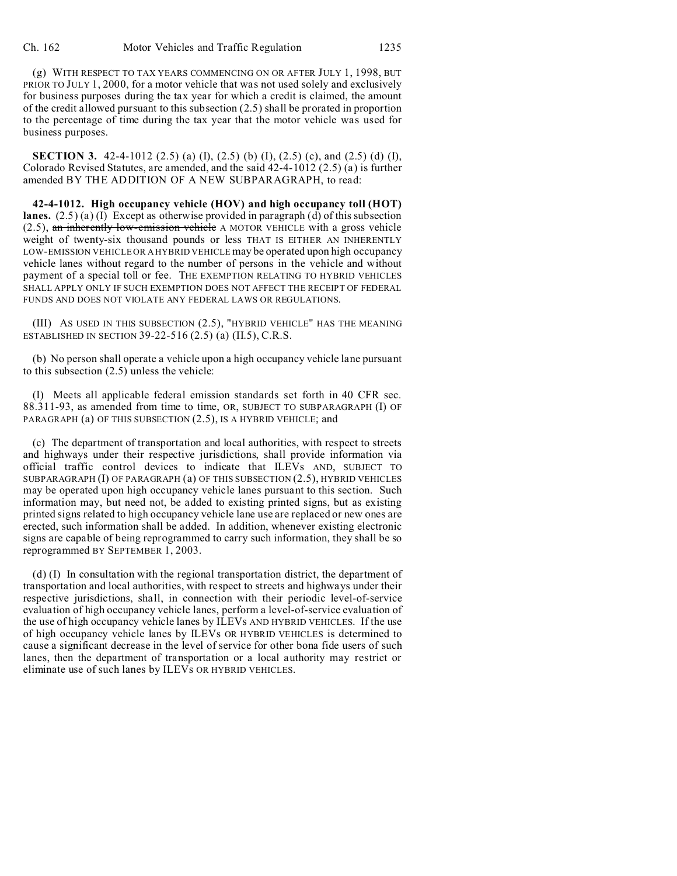(g) WITH RESPECT TO TAX YEARS COMMENCING ON OR AFTER JULY 1, 1998, BUT PRIOR TO JULY 1, 2000, for a motor vehicle that was not used solely and exclusively for business purposes during the tax year for which a credit is claimed, the amount of the credit allowed pursuant to this subsection (2.5) shall be prorated in proportion to the percentage of time during the tax year that the motor vehicle was used for business purposes.

**SECTION 3.** 42-4-1012 (2.5) (a) (I), (2.5) (b) (I), (2.5) (c), and (2.5) (d) (I), Colorado Revised Statutes, are amended, and the said 42-4-1012 (2.5) (a) is further amended BY THE ADDITION OF A NEW SUBPARAGRAPH, to read:

**42-4-1012. High occupancy vehicle (HOV) and high occupancy toll (HOT) lanes.** (2.5) (a) (I) Except as otherwise provided in paragraph (d) of this subsection  $(2.5)$ , an inherently low-emission vehicle A MOTOR VEHICLE with a gross vehicle weight of twenty-six thousand pounds or less THAT IS EITHER AN INHERENTLY LOW-EMISSION VEHICLE OR A HYBRID VEHICLE may be operated upon high occupancy vehicle lanes without regard to the number of persons in the vehicle and without payment of a special toll or fee. THE EXEMPTION RELATING TO HYBRID VEHICLES SHALL APPLY ONLY IF SUCH EXEMPTION DOES NOT AFFECT THE RECEIPT OF FEDERAL FUNDS AND DOES NOT VIOLATE ANY FEDERAL LAWS OR REGULATIONS.

(III) AS USED IN THIS SUBSECTION (2.5), "HYBRID VEHICLE" HAS THE MEANING ESTABLISHED IN SECTION 39-22-516 (2.5) (a) (II.5), C.R.S.

(b) No person shall operate a vehicle upon a high occupancy vehicle lane pursuant to this subsection (2.5) unless the vehicle:

(I) Meets all applicable federal emission standards set forth in 40 CFR sec. 88.311-93, as amended from time to time, OR, SUBJECT TO SUBPARAGRAPH (I) OF PARAGRAPH (a) OF THIS SUBSECTION (2.5), IS A HYBRID VEHICLE; and

(c) The department of transportation and local authorities, with respect to streets and highways under their respective jurisdictions, shall provide information via official traffic control devices to indicate that ILEVs AND, SUBJECT TO SUBPARAGRAPH (I) OF PARAGRAPH (a) OF THIS SUBSECTION (2.5), HYBRID VEHICLES may be operated upon high occupancy vehicle lanes pursuant to this section. Such information may, but need not, be added to existing printed signs, but as existing printed signs related to high occupancy vehicle lane use are replaced or new ones are erected, such information shall be added. In addition, whenever existing electronic signs are capable of being reprogrammed to carry such information, they shall be so reprogrammed BY SEPTEMBER 1, 2003.

(d) (I) In consultation with the regional transportation district, the department of transportation and local authorities, with respect to streets and highways under their respective jurisdictions, shall, in connection with their periodic level-of-service evaluation of high occupancy vehicle lanes, perform a level-of-service evaluation of the use of high occupancy vehicle lanes by ILEVs AND HYBRID VEHICLES. If the use of high occupancy vehicle lanes by ILEVs OR HYBRID VEHICLES is determined to cause a significant decrease in the level of service for other bona fide users of such lanes, then the department of transportation or a local authority may restrict or eliminate use of such lanes by ILEVs OR HYBRID VEHICLES.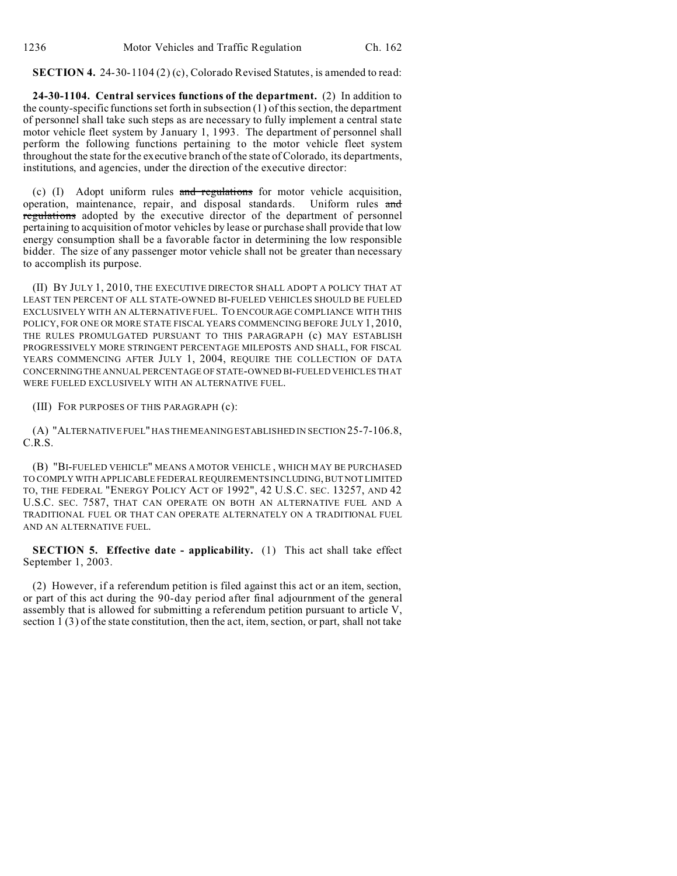**SECTION 4.** 24-30-1104 (2) (c), Colorado Revised Statutes, is amended to read:

**24-30-1104. Central services functions of the department.** (2) In addition to the county-specific functions set forth in subsection  $(1)$  of this section, the department of personnel shall take such steps as are necessary to fully implement a central state motor vehicle fleet system by January 1, 1993. The department of personnel shall perform the following functions pertaining to the motor vehicle fleet system throughout the state for the executive branch of the state of Colorado, its departments, institutions, and agencies, under the direction of the executive director:

(c) (I) Adopt uniform rules and regulations for motor vehicle acquisition, operation, maintenance, repair, and disposal standards. Uniform rules and regulations adopted by the executive director of the department of personnel pertaining to acquisition of motor vehicles by lease or purchase shall provide that low energy consumption shall be a favorable factor in determining the low responsible bidder. The size of any passenger motor vehicle shall not be greater than necessary to accomplish its purpose.

(II) BY JULY 1, 2010, THE EXECUTIVE DIRECTOR SHALL ADOPT A POLICY THAT AT LEAST TEN PERCENT OF ALL STATE-OWNED BI-FUELED VEHICLES SHOULD BE FUELED EXCLUSIVELY WITH AN ALTERNATIVE FUEL. TO ENCOURAGE COMPLIANCE WITH THIS POLICY, FOR ONE OR MORE STATE FISCAL YEARS COMMENCING BEFORE JULY 1, 2010, THE RULES PROMULGATED PURSUANT TO THIS PARAGRAPH (c) MAY ESTABLISH PROGRESSIVELY MORE STRINGENT PERCENTAGE MILEPOSTS AND SHALL, FOR FISCAL YEARS COMMENCING AFTER JULY 1, 2004, REQUIRE THE COLLECTION OF DATA CONCERNING THE ANNUAL PERCENTAGE OF STATE-OWNED BI-FUELED VEHICLES THAT WERE FUELED EXCLUSIVELY WITH AN ALTERNATIVE FUEL.

(III) FOR PURPOSES OF THIS PARAGRAPH (c):

(A) "ALTERNATIVE FUEL" HAS THE MEANING ESTABLISHED IN SECTION 25-7-106.8, C.R.S.

(B) "BI-FUELED VEHICLE" MEANS A MOTOR VEHICLE , WHICH MAY BE PURCHASED TO COMPLY WITH APPLICABLE FEDERAL REQUIREMENTS INCLUDING, BUT NOT LIMITED TO, THE FEDERAL "ENERGY POLICY ACT OF 1992", 42 U.S.C. SEC. 13257, AND 42 U.S.C. SEC. 7587, THAT CAN OPERATE ON BOTH AN ALTERNATIVE FUEL AND A TRADITIONAL FUEL OR THAT CAN OPERATE ALTERNATELY ON A TRADITIONAL FUEL AND AN ALTERNATIVE FUEL.

**SECTION 5. Effective date - applicability.** (1) This act shall take effect September 1, 2003.

(2) However, if a referendum petition is filed against this act or an item, section, or part of this act during the 90-day period after final adjournment of the general assembly that is allowed for submitting a referendum petition pursuant to article V, section 1 (3) of the state constitution, then the act, item, section, or part, shall not take